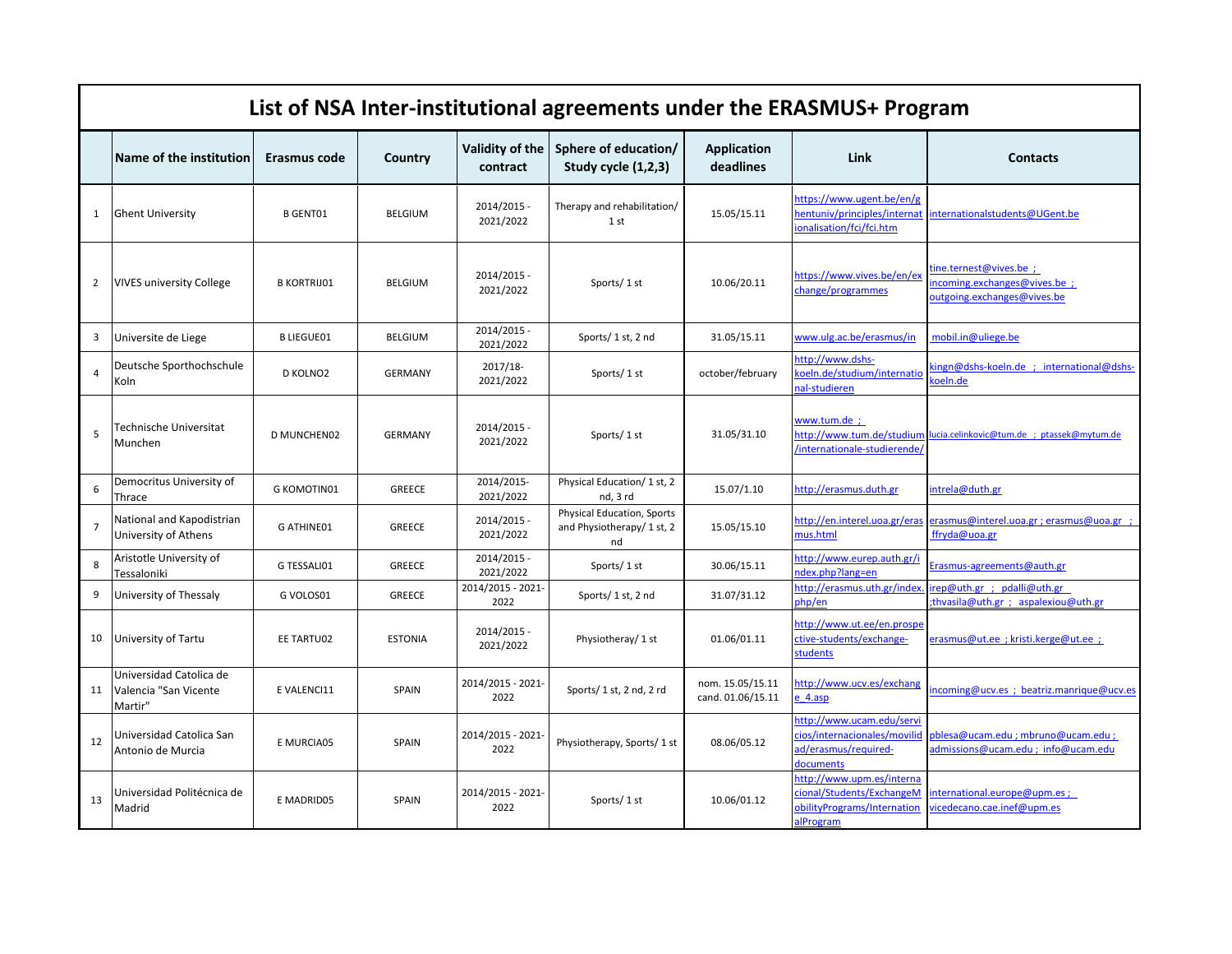|                | List of NSA Inter-institutional agreements under the ERASMUS+ Program |                    |                |                             |                                                                |                                       |                                                                                                    |                                                                                       |  |
|----------------|-----------------------------------------------------------------------|--------------------|----------------|-----------------------------|----------------------------------------------------------------|---------------------------------------|----------------------------------------------------------------------------------------------------|---------------------------------------------------------------------------------------|--|
|                | Name of the institution                                               | Erasmus code       | Country        | Validity of the<br>contract | Sphere of education/<br>Study cycle (1,2,3)                    | <b>Application</b><br>deadlines       | Link                                                                                               | <b>Contacts</b>                                                                       |  |
| 1              | <b>Ghent University</b>                                               | <b>B GENT01</b>    | <b>BELGIUM</b> | 2014/2015 -<br>2021/2022    | Therapy and rehabilitation/<br>1st                             | 15.05/15.11                           | https://www.ugent.be/en/g<br>entuniv/principles/internat<br>onalisation/fci/fci.htm                | internationalstudents@UGent.be                                                        |  |
| 2              | <b>VIVES university College</b>                                       | <b>B KORTRIJ01</b> | <b>BELGIUM</b> | 2014/2015 -<br>2021/2022    | Sports/1st                                                     | 10.06/20.11                           | https://www.vives.be/en/ex<br>change/programmes                                                    | :ine.ternest@vives.be;<br>ncoming.exchanges@vives.be ;<br>outgoing.exchanges@vives.be |  |
| 3              | Universite de Liege                                                   | <b>B LIEGUE01</b>  | <b>BELGIUM</b> | 2014/2015 -<br>2021/2022    | Sports/1st, 2nd                                                | 31.05/15.11                           | www.ulg.ac.be/erasmus/in                                                                           | mobil.in@uliege.be                                                                    |  |
| $\overline{4}$ | Deutsche Sporthochschule<br>Koln                                      | D KOLNO2           | <b>GERMANY</b> | 2017/18-<br>2021/2022       | Sports/1 st                                                    | october/february                      | nttp://www.dshs-<br>coeln.de/studium/internatio<br>al-studieren                                    | ingn@dshs-koeln.de ; international@dshs-<br>oeln.de                                   |  |
| 5              | Technische Universitat<br>Munchen                                     | D MUNCHEN02        | <b>GERMANY</b> | 2014/2015 -<br>2021/2022    | Sports/1st                                                     | 31.05/31.10                           | www.tum.de ;<br>/internationale-studierende/                                                       | http://www.tum.de/studium lucia.celinkovic@tum.de ; ptassek@mytum.de                  |  |
| 6              | Democritus University of<br>Thrace                                    | <b>G KOMOTIN01</b> | GREECE         | 2014/2015-<br>2021/2022     | Physical Education/ 1 st, 2<br>nd, 3 rd                        | 15.07/1.10                            | http://erasmus.duth.gr                                                                             | intrela@duth.gr                                                                       |  |
| $\overline{7}$ | National and Kapodistrian<br>University of Athens                     | <b>G ATHINE01</b>  | <b>GREECE</b>  | 2014/2015 -<br>2021/2022    | Physical Education, Sports<br>and Physiotherapy/ 1 st, 2<br>nd | 15.05/15.10                           | http://en.interel.uoa.gr/eras<br>mus.html                                                          | erasmus@interel.uoa.gr ; erasmus@uoa.gr ;<br>ffryda@uoa.gr                            |  |
| 8              | Aristotle University of<br>Tessaloniki                                | G TESSALI01        | <b>GREECE</b>  | 2014/2015 -<br>2021/2022    | Sports/1st                                                     | 30.06/15.11                           | ittp://www.eurep.auth.gr/i<br>dex.php?lang=en                                                      | Erasmus-agreements@auth.gr                                                            |  |
| 9              | University of Thessaly                                                | G VOLOS01          | <b>GREECE</b>  | 2014/2015 - 2021-<br>2022   | Sports/1 st, 2 nd                                              | 31.07/31.12                           | ittp://erasmus.uth.gr/index<br>bhp/en                                                              | irep@uth.gr ; pdalli@uth.gr<br>thvasila@uth.gr; aspalexiou@uth.gr                     |  |
| 10             | University of Tartu                                                   | EE TARTU02         | <b>ESTONIA</b> | 2014/2015 -<br>2021/2022    | Physiotheray/ 1 st                                             | 01.06/01.11                           | http://www.ut.ee/en.prospe<br>ctive-students/exchange-<br>tudents                                  | erasmus@ut.ee ; kristi.kerge@ut.ee ;                                                  |  |
| 11             | Universidad Catolica de<br>Valencia "San Vicente<br>Martir"           | E VALENCI11        | SPAIN          | 2014/2015 - 2021-<br>2022   | Sports/1 st, 2 nd, 2 rd                                        | nom. 15.05/15.11<br>cand. 01.06/15.11 | ittp://www.ucv.es/exchang<br>4.35 <sub>p</sub>                                                     | ncoming@ucv.es ; beatriz.manrique@ucv.es                                              |  |
| 12             | Universidad Catolica San<br>Antonio de Murcia                         | E MURCIA05         | SPAIN          | 2014/2015 - 2021-<br>2022   | Physiotherapy, Sports/1 st                                     | 08.06/05.12                           | http://www.ucam.edu/servi<br>cios/internacionales/movilid<br>ad/erasmus/required-<br>documents     | sblesa@ucam.edu ; mbruno@ucam.edu ;<br>admissions@ucam.edu ; info@ucam.edu            |  |
| 13             | Universidad Politécnica de<br>Madrid                                  | E MADRID05         | <b>SPAIN</b>   | 2014/2015 - 2021-<br>2022   | Sports/1st                                                     | 10.06/01.12                           | nttp://www.upm.es/interna<br>cional/Students/ExchangeM<br>obilityPrograms/Internation<br>alProgram | nternational.europe@upm.es;<br>ricedecano.cae.inef@upm.es                             |  |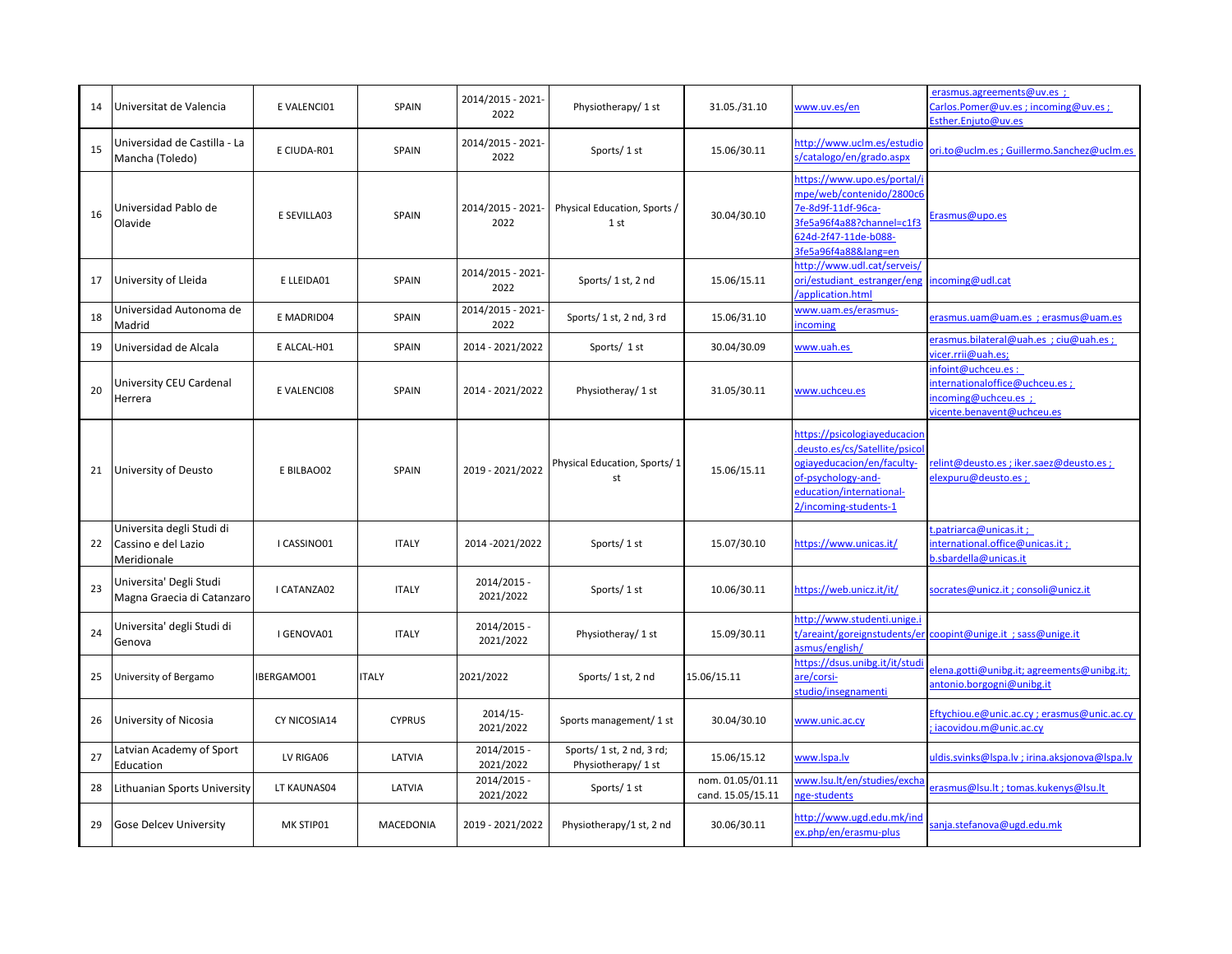| 14 | Universitat de Valencia                                         | E VALENCI01       | <b>SPAIN</b>  | 2014/2015 - 2021-<br>2022 | Physiotherapy/ 1 st                              | 31.05./31.10                          | www.uv.es/en                                                                                                                                                           | erasmus.agreements@uv.es ;<br>Carlos.Pomer@uv.es;incoming@uv.es;<br>sther.Eniuto@uv.es                   |
|----|-----------------------------------------------------------------|-------------------|---------------|---------------------------|--------------------------------------------------|---------------------------------------|------------------------------------------------------------------------------------------------------------------------------------------------------------------------|----------------------------------------------------------------------------------------------------------|
| 15 | Universidad de Castilla - La<br>Mancha (Toledo)                 | E CIUDA-R01       | SPAIN         | 2014/2015 - 2021-<br>2022 | Sports/1st                                       | 15.06/30.11                           | http://www.uclm.es/estudic<br>/catalogo/en/grado.aspx                                                                                                                  | ori.to@uclm.es ; Guillermo.Sanchez@uclm.es                                                               |
| 16 | Universidad Pablo de<br>Olavide                                 | E SEVILLA03       | SPAIN         | 2014/2015 - 2021-<br>2022 | Physical Education, Sports /<br>1 st             | 30.04/30.10                           | nttps://www.upo.es/portal/i<br>mpe/web/contenido/2800c6<br>7e-8d9f-11df-96ca-<br>8fe5a96f4a88?channel=c1f3<br>524d-2f47-11de-b088-<br>8fe5a96f4a88⟨=en                 | Erasmus@upo.es                                                                                           |
| 17 | University of Lleida                                            | E LLEIDA01        | SPAIN         | 2014/2015 - 2021-<br>2022 | Sports/1 st, 2 nd                                | 15.06/15.11                           | http://www.udl.cat/serveis/<br>ori/estudiant estranger/eng<br>application.html                                                                                         | incoming@udl.cat                                                                                         |
| 18 | Universidad Autonoma de<br>Madrid                               | E MADRID04        | <b>SPAIN</b>  | 2014/2015 - 2021-<br>2022 | Sports/ 1 st, 2 nd, 3 rd                         | 15.06/31.10                           | www.uam.es/erasmus-<br>ncoming                                                                                                                                         | erasmus.uam@uam.es ; erasmus@uam.es                                                                      |
| 19 | Universidad de Alcala                                           | E ALCAL-H01       | SPAIN         | 2014 - 2021/2022          | Sports/ 1 st                                     | 30.04/30.09                           | www.uah.es                                                                                                                                                             | erasmus.bilateral@uah.es ; ciu@uah.es ;<br>vicer.rrii@uah.es;                                            |
| 20 | University CEU Cardenal<br>Herrera                              | E VALENCI08       | SPAIN         | 2014 - 2021/2022          | Physiotheray/ 1 st                               | 31.05/30.11                           | www.uchceu.es                                                                                                                                                          | infoint@uchceu.es:<br>nternationaloffice@uchceu.es ;<br>ncoming@uchceu.es;<br>vicente.benavent@uchceu.es |
| 21 | University of Deusto                                            | E BILBAO02        | SPAIN         | 2019 - 2021/2022          | Physical Education, Sports/1<br>st               | 15.06/15.11                           | https://psicologiayeducacion<br>deusto.es/cs/Satellite/psicol<br>bgiayeducacion/en/faculty-<br>of-psychology-and-<br>education/international-<br>2/incoming-students-1 | elint@deusto.es ; iker.saez@deusto.es ;<br>elexpuru@deusto.es;                                           |
| 22 | Universita degli Studi di<br>Cassino e del Lazio<br>Meridionale | I CASSINO01       | <b>ITALY</b>  | 2014 - 2021/2022          | Sports/1st                                       | 15.07/30.10                           | https://www.unicas.it/                                                                                                                                                 | t.patriarca@unicas.it ;<br>nternational.office@unicas.it;<br>o.sbardella@unicas.it                       |
| 23 | Universita' Degli Studi<br>Magna Graecia di Catanzaro           | I CATANZA02       | <b>ITALY</b>  | 2014/2015 -<br>2021/2022  | Sports/1st                                       | 10.06/30.11                           | https://web.unicz.it/it/                                                                                                                                               | socrates@unicz.it ; consoli@unicz.it                                                                     |
| 24 | Universita' degli Studi di<br>Genova                            | I GENOVA01        | <b>ITALY</b>  | 2014/2015 -<br>2021/2022  | Physiotheray/ 1 st                               | 15.09/30.11                           | nttp://www.studenti.unige.i<br>asmus/english/                                                                                                                          |                                                                                                          |
| 25 | University of Bergamo                                           | <b>IBERGAMO01</b> | <b>ITALY</b>  | 2021/2022                 | Sports/1 st, 2 nd                                | 15.06/15.11                           | https://dsus.unibg.it/it/studi<br>are/corsi-<br>studio/insegnamenti                                                                                                    | elena.gotti@unibg.it; agreements@unibg.it;<br>antonio.borgogni@unibg.it                                  |
| 26 | University of Nicosia                                           | CY NICOSIA14      | <b>CYPRUS</b> | 2014/15-<br>2021/2022     | Sports management/ 1 st                          | 30.04/30.10                           | www.unic.ac.cy                                                                                                                                                         | Eftychiou.e@unic.ac.cy; erasmus@unic.ac.cy<br>iacovidou.m@unic.ac.cv                                     |
| 27 | Latvian Academy of Sport<br>Education                           | LV RIGA06         | LATVIA        | 2014/2015 -<br>2021/2022  | Sports/ 1 st, 2 nd, 3 rd;<br>Physiotherapy/ 1 st | 15.06/15.12                           | www.lspa.lv                                                                                                                                                            | uldis.svinks@lspa.lv; irina.aksjonova@lspa.lv                                                            |
| 28 | Lithuanian Sports University                                    | LT KAUNAS04       | LATVIA        | 2014/2015 -<br>2021/2022  | Sports/1st                                       | nom. 01.05/01.11<br>cand. 15.05/15.11 | www.lsu.lt/en/studies/excha<br>ge-students                                                                                                                             | erasmus@lsu.lt; tomas.kukenys@lsu.lt                                                                     |
| 29 | <b>Gose Delcev University</b>                                   | MK STIP01         | MACEDONIA     | 2019 - 2021/2022          | Physiotherapy/1 st, 2 nd                         | 30.06/30.11                           | ittp://www.ugd.edu.mk/ind<br>ex.php/en/erasmu-plus                                                                                                                     | anja.stefanova@ugd.edu.mk                                                                                |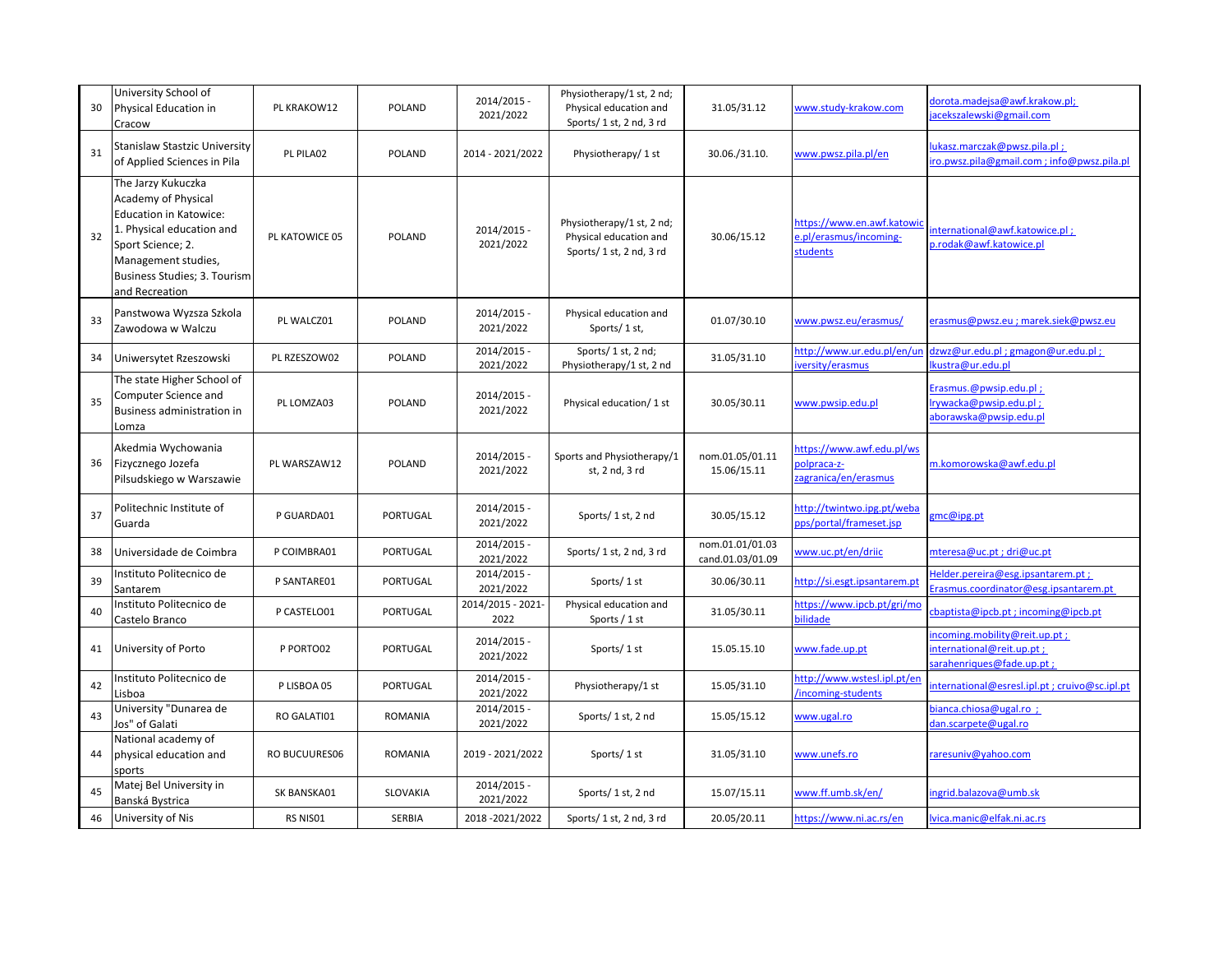| 30 | University School of<br>Physical Education in<br>Cracow                                                                                                                                               | PL KRAKOW12    | POLAND          | 2014/2015 -<br>2021/2022  | Physiotherapy/1 st, 2 nd;<br>Physical education and<br>Sports/ 1 st, 2 nd, 3 rd | 31.05/31.12                         | www.study-krakow.com                                             | dorota.madejsa@awf.krakow.pl;<br>acekszalewski@gmail.com                             |
|----|-------------------------------------------------------------------------------------------------------------------------------------------------------------------------------------------------------|----------------|-----------------|---------------------------|---------------------------------------------------------------------------------|-------------------------------------|------------------------------------------------------------------|--------------------------------------------------------------------------------------|
| 31 | Stanislaw Stastzic University<br>of Applied Sciences in Pila                                                                                                                                          | PL PILA02      | POLAND          | 2014 - 2021/2022          | Physiotherapy/ 1 st                                                             | 30.06./31.10.                       | www.pwsz.pila.pl/en                                              | lukasz.marczak@pwsz.pila.pl;<br>iro.pwsz.pila@gmail.com ; info@pwsz.pila.pl          |
| 32 | The Jarzy Kukuczka<br>Academy of Physical<br><b>Education in Katowice:</b><br>1. Physical education and<br>Sport Science; 2.<br>Management studies,<br>Business Studies; 3. Tourism<br>and Recreation | PL KATOWICE 05 | POLAND          | 2014/2015 -<br>2021/2022  | Physiotherapy/1 st, 2 nd;<br>Physical education and<br>Sports/1 st, 2 nd, 3 rd  | 30.06/15.12                         | https://www.en.awf.katowic<br>e.pl/erasmus/incoming-<br>students | nternational@awf.katowice.pl;<br>p.rodak@awf.katowice.pl                             |
| 33 | Panstwowa Wyzsza Szkola<br>Zawodowa w Walczu                                                                                                                                                          | PL WALCZ01     | POLAND          | 2014/2015 -<br>2021/2022  | Physical education and<br>Sports/1st,                                           | 01.07/30.10                         | www.pwsz.eu/erasmus/                                             | erasmus@pwsz.eu ; marek.siek@pwsz.eu                                                 |
| 34 | Uniwersytet Rzeszowski                                                                                                                                                                                | PL RZESZOW02   | POLAND          | 2014/2015 -<br>2021/2022  | Sports/ 1 st, 2 nd;<br>Physiotherapy/1 st, 2 nd                                 | 31.05/31.10                         | http://www.ur.edu.pl/en/ur<br>versity/erasmus                    | dzwz@ur.edu.pl; gmagon@ur.edu.pl;<br>lkustra@ur.edu.pl                               |
| 35 | The state Higher School of<br>Computer Science and<br>Business administration in<br>Lomza                                                                                                             | PL LOMZA03     | POLAND          | 2014/2015 -<br>2021/2022  | Physical education/1 st                                                         | 30.05/30.11                         | www.pwsip.edu.pl                                                 | Erasmus.@pwsip.edu.pl;<br>lrywacka@pwsip.edu.pl;<br>aborawska@pwsip.edu.pl           |
| 36 | Akedmia Wychowania<br>Fizycznego Jozefa<br>Pilsudskiego w Warszawie                                                                                                                                   | PL WARSZAW12   | <b>POLAND</b>   | 2014/2015 -<br>2021/2022  | Sports and Physiotherapy/1<br>st, 2 nd, 3 rd                                    | nom.01.05/01.11<br>15.06/15.11      | https://www.awf.edu.pl/ws<br>polpraca-z-<br>zagranica/en/erasmus | m.komorowska@awf.edu.pl                                                              |
| 37 | Politechnic Institute of<br>Guarda                                                                                                                                                                    | P GUARDA01     | <b>PORTUGAL</b> | 2014/2015 -<br>2021/2022  | Sports/1st, 2nd                                                                 | 30.05/15.12                         | http://twintwo.ipg.pt/weba<br>pps/portal/frameset.jsp            | gmc@ipg.pt                                                                           |
| 38 | Universidade de Coimbra                                                                                                                                                                               | P COIMBRA01    | <b>PORTUGAL</b> | 2014/2015 -<br>2021/2022  | Sports/1 st, 2 nd, 3 rd                                                         | nom.01.01/01.03<br>cand.01.03/01.09 | www.uc.pt/en/driic                                               | mteresa@uc.pt; dri@uc.pt                                                             |
| 39 | Instituto Politecnico de<br>Santarem                                                                                                                                                                  | P SANTARE01    | PORTUGAL        | 2014/2015 -<br>2021/2022  | Sports/1 st                                                                     | 30.06/30.11                         | http://si.esgt.ipsantarem.pt                                     | Helder.pereira@esg.ipsantarem.pt;<br>crasmus.coordinator@esg.ipsantarem.pt           |
| 40 | Instituto Politecnico de<br>Castelo Branco                                                                                                                                                            | P CASTELO01    | PORTUGAL        | 2014/2015 - 2021-<br>2022 | Physical education and<br>Sports / 1 st                                         | 31.05/30.11                         | https://www.ipcb.pt/gri/mo<br>bilidade                           | cbaptista@ipcb.pt; incoming@ipcb.pt                                                  |
| 41 | University of Porto                                                                                                                                                                                   | P PORTO02      | PORTUGAL        | 2014/2015 -<br>2021/2022  | Sports/1 st                                                                     | 15.05.15.10                         | www.fade.up.pt                                                   | ncoming.mobility@reit.up.pt;<br>nternational@reit.up.pt;<br>sarahenriques@fade.up.pt |
| 42 | Instituto Politecnico de<br>Lisboa                                                                                                                                                                    | P LISBOA 05    | PORTUGAL        | 2014/2015 -<br>2021/2022  | Physiotherapy/1 st                                                              | 15.05/31.10                         | http://www.wstesl.ipl.pt/en<br>incoming-students                 | nternational@esresl.ipl.pt; cruivo@sc.ipl.pt                                         |
| 43 | University "Dunarea de<br>Jos" of Galati                                                                                                                                                              | RO GALATI01    | ROMANIA         | 2014/2015 -<br>2021/2022  | Sports/1st, 2nd                                                                 | 15.05/15.12                         | www.ugal.ro                                                      | bianca.chiosa@ugal.ro ;<br>dan.scarpete@ugal.ro                                      |
| 44 | National academy of<br>physical education and<br>sports                                                                                                                                               | RO BUCUURES06  | ROMANIA         | 2019 - 2021/2022          | Sports/1st                                                                      | 31.05/31.10                         | www.unefs.ro                                                     | raresuniv@yahoo.com                                                                  |
| 45 | Matej Bel University in<br>Banská Bystrica                                                                                                                                                            | SK BANSKA01    | SLOVAKIA        | 2014/2015 -<br>2021/2022  | Sports/1 st, 2 nd                                                               | 15.07/15.11                         | www.ff.umb.sk/en/                                                | ingrid.balazova@umb.sk                                                               |
| 46 | University of Nis                                                                                                                                                                                     | RS NISO1       | SERBIA          | 2018-2021/2022            | Sports/ 1 st, 2 nd, 3 rd                                                        | 20.05/20.11                         | https://www.ni.ac.rs/en                                          | lvica.manic@elfak.ni.ac.rs                                                           |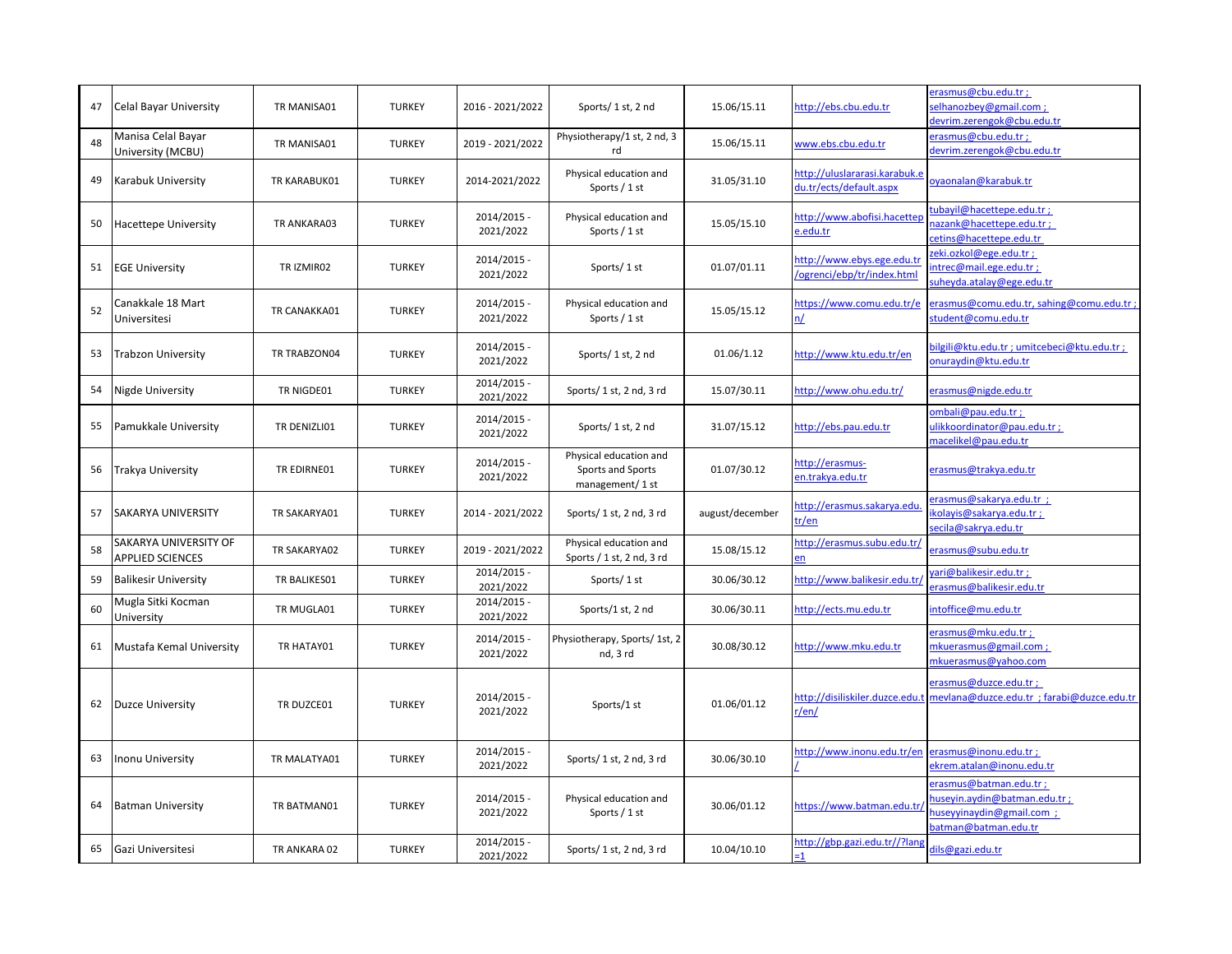| 47 | Celal Bayar University                           | TR MANISA01  | <b>TURKEY</b> | 2016 - 2021/2022         | Sports/1 st, 2 nd                                              | 15.06/15.11     | http://ebs.cbu.edu.tr                                    | erasmus@cbu.edu.tr;<br>selhanozbev@gmail.com:<br>devrim.zerengok@cbu.edu.tr                                 |
|----|--------------------------------------------------|--------------|---------------|--------------------------|----------------------------------------------------------------|-----------------|----------------------------------------------------------|-------------------------------------------------------------------------------------------------------------|
| 48 | Manisa Celal Bayar<br>University (MCBU)          | TR MANISA01  | <b>TURKEY</b> | 2019 - 2021/2022         | Physiotherapy/1 st, 2 nd, 3<br>rd                              | 15.06/15.11     | www.ebs.cbu.edu.tr                                       | erasmus@cbu.edu.tr;<br>devrim.zerengok@cbu.edu.tr                                                           |
| 49 | <b>Karabuk University</b>                        | TR KARABUK01 | <b>TURKEY</b> | 2014-2021/2022           | Physical education and<br>Sports / 1 st                        | 31.05/31.10     | http://uluslararasi.karabuk.e<br>du.tr/ects/default.aspx | ova onalan@karabuk.tr                                                                                       |
| 50 | <b>Hacettepe University</b>                      | TR ANKARA03  | <b>TURKEY</b> | 2014/2015 -<br>2021/2022 | Physical education and<br>Sports / 1 st                        | 15.05/15.10     | http://www.abofisi.hacettep<br>e.edu.tr                  | ubayil@hacettepe.edu.tr;<br>azank@hacettepe.edu.tr;<br>cetins@hacettepe.edu.tr                              |
| 51 | <b>EGE University</b>                            | TR IZMIR02   | <b>TURKEY</b> | 2014/2015 -<br>2021/2022 | Sports/1 st                                                    | 01.07/01.11     | nttp://www.ebys.ege.edu.tr<br>ogrenci/ebp/tr/index.html  | reki.ozkol@ege.edu.tr :<br>ntrec@mail.ege.edu.tr;<br>suheyda.atalay@ege.edu.tr                              |
| 52 | Canakkale 18 Mart<br>Universitesi                | TR CANAKKA01 | <b>TURKEY</b> | 2014/2015 -<br>2021/2022 | Physical education and<br>Sports / 1 st                        | 15.05/15.12     | https://www.comu.edu.tr/e<br>n/                          | erasmus@comu.edu.tr, sahing@comu.edu.tr;<br>stud <u>ent@comu.edu.tr</u>                                     |
| 53 | <b>Trabzon University</b>                        | TR TRABZON04 | <b>TURKEY</b> | 2014/2015 -<br>2021/2022 | Sports/1 st, 2 nd                                              | 01.06/1.12      | http://www.ktu.edu.tr/en                                 | oilgili@ktu.edu.tr ; umitcebeci@ktu.edu.tr ;<br>onuraydin@ktu.edu.tr                                        |
| 54 | Nigde University                                 | TR NIGDE01   | <b>TURKEY</b> | 2014/2015 -<br>2021/2022 | Sports/1 st, 2 nd, 3 rd                                        | 15.07/30.11     | http://www.ohu.edu.tr/                                   | erasmus@nigde.edu.tr                                                                                        |
| 55 | Pamukkale University                             | TR DENIZLI01 | <b>TURKEY</b> | 2014/2015 -<br>2021/2022 | Sports/1 st, 2 nd                                              | 31.07/15.12     | http://ebs.pau.edu.tr                                    | ombali@pau.edu.tr;<br>ulikkoordinator@pau.edu.tr;<br>macelikel@pau.edu.tr                                   |
| 56 | Trakya University                                | TR EDIRNE01  | <b>TURKEY</b> | 2014/2015 -<br>2021/2022 | Physical education and<br>Sports and Sports<br>management/1 st | 01.07/30.12     | http://erasmus-<br>en.trakya.edu.tr                      | erasmus@trakya.edu.tr                                                                                       |
| 57 | <b>SAKARYA UNIVERSITY</b>                        | TR SAKARYA01 | <b>TURKEY</b> | 2014 - 2021/2022         | Sports/1 st, 2 nd, 3 rd                                        | august/december | http://erasmus.sakarya.edu<br>tr <u>/en</u>              | erasmus@sakarya.edu.tr;<br>kolavis@sakarya.edu.tr;<br>secila@sakrya.edu.tr                                  |
| 58 | SAKARYA UNIVERSITY OF<br><b>APPLIED SCIENCES</b> | TR SAKARYA02 | <b>TURKEY</b> | 2019 - 2021/2022         | Physical education and<br>Sports / 1 st, 2 nd, 3 rd            | 15.08/15.12     | http://erasmus.subu.edu.tr/                              | erasmus@subu.edu.tr                                                                                         |
| 59 | <b>Balikesir University</b>                      | TR BALIKES01 | <b>TURKEY</b> | 2014/2015 -<br>2021/2022 | Sports/1st                                                     | 30.06/30.12     | http://www.balikesir.edu.tr                              | ari@balikesir.edu.tr;<br>erasmus@balikesir.edu.tr                                                           |
| 60 | Mugla Sitki Kocman<br>University                 | TR MUGLA01   | <b>TURKEY</b> | 2014/2015 -<br>2021/2022 | Sports/1 st, 2 nd                                              | 30.06/30.11     | http://ects.mu.edu.tr                                    | intoffice@mu.edu.tr                                                                                         |
| 61 | Mustafa Kemal University                         | TR HATAY01   | <b>TURKEY</b> | 2014/2015 -<br>2021/2022 | Physiotherapy, Sports/ 1st, 2<br>nd, 3 rd                      | 30.08/30.12     | http://www.mku.edu.tr                                    | erasmus@mku.edu.tr:<br>mkuerasmus@gmail.com;<br>mkuerasmus@yahoo.com                                        |
| 62 | <b>Duzce University</b>                          | TR DUZCE01   | <b>TURKEY</b> | 2014/2015 -<br>2021/2022 | Sports/1 st                                                    | 01.06/01.12     | http://disiliskiler.duzce.edu.t<br>$r/\mathrm{en}/$      | erasmus@duzce.edu.tr;<br>mevlana@duzce.edu.tr ; farabi@duzce.edu.tr                                         |
| 63 | <b>Inonu University</b>                          | TR MALATYA01 | <b>TURKEY</b> | 2014/2015 -<br>2021/2022 | Sports/ 1 st, 2 nd, 3 rd                                       | 30.06/30.10     | nttp://www.inonu.edu.tr/en                               | erasmus@inonu.edu.tr;<br>ekrem.atalan@inonu.edu.tr                                                          |
| 64 | <b>Batman University</b>                         | TR BATMAN01  | <b>TURKEY</b> | 2014/2015 -<br>2021/2022 | Physical education and<br>Sports $/1$ st                       | 30.06/01.12     | https://www.batman.edu.tr/                               | erasmus@batman.edu.tr:<br>iuseyin.aydin@batman.edu.tr;<br>auseyyinaydin@gmail.com ;<br>patman@batman.edu.tr |
| 65 | Gazi Universitesi                                | TR ANKARA 02 | <b>TURKEY</b> | 2014/2015 -<br>2021/2022 | Sports/1 st, 2 nd, 3 rd                                        | 10.04/10.10     | http://gbp.gazi.edu.tr//?lang                            | dils@gazi.edu.tr                                                                                            |